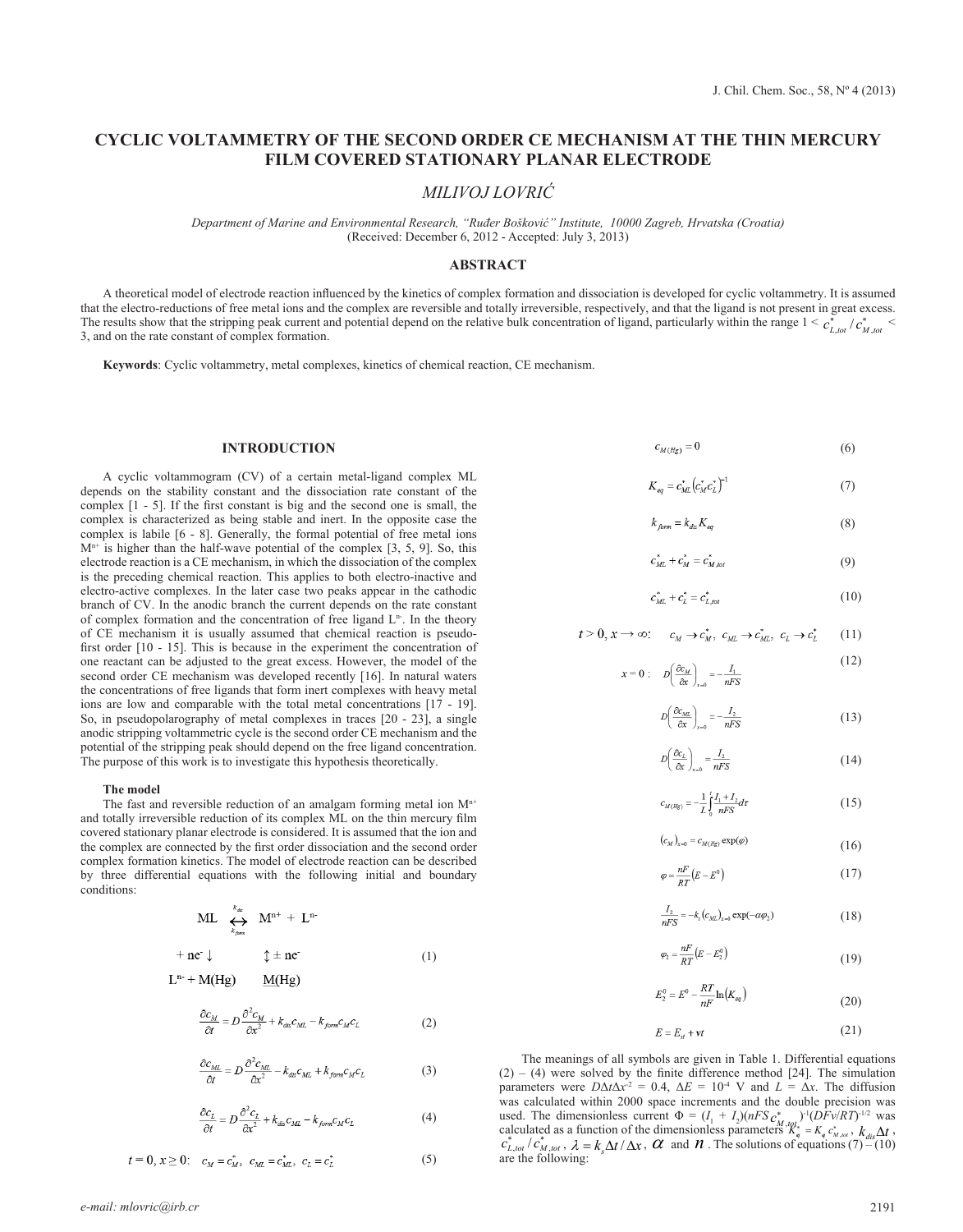# **CYCLIC VOLTAMMETRY OF THE SECOND ORDER CE MECHANISM AT THE THIN MERCURY FILM COVERED STATIONARY PLANAR ELECTRODE**

*MILIVOJ LOVRIĆ*

*Department of Marine and Environmental Research, "Ruđer Bošković" Institute, 10000 Zagreb, Hrvatska (Croatia)* (Received: December 6, 2012 - Accepted: July 3, 2013)

# **ABSTRACT**

A theoretical model of electrode reaction influenced by the kinetics of complex formation and dissociation is developed for cyclic voltammetry. It is assumed that the electro-reductions of free metal ions and the complex are reversible and totally irreversible, respectively, and that the ligand is not present in great excess. The results show that the stripping peak current and potential depend on the relative bulk concentration of ligand, particularly within the range  $1 < c_{L, tot}^* / c_{M, tot}^* <$ 3, and on the rate constant of complex formation.

**Keywords**: Cyclic voltammetry, metal complexes, kinetics of chemical reaction, CE mechanism.

### **INTRODUCTION**

A cyclic voltammogram (CV) of a certain metal-ligand complex ML depends on the stability constant and the dissociation rate constant of the complex [1 - 5]. If the first constant is big and the second one is small, the complex is characterized as being stable and inert. In the opposite case the complex is labile [6 - 8]. Generally, the formal potential of free metal ions  $M<sup>n+</sup>$  is higher than the half-wave potential of the complex [3, 5, 9]. So, this electrode reaction is a CE mechanism, in which the dissociation of the complex is the preceding chemical reaction. This applies to both electro-inactive and electro-active complexes. In the later case two peaks appear in the cathodic branch of CV. In the anodic branch the current depends on the rate constant of complex formation and the concentration of free ligand  $L<sup>n</sup>$ . In the theory of CE mechanism it is usually assumed that chemical reaction is pseudofirst order [10 - 15]. This is because in the experiment the concentration of one reactant can be adjusted to the great excess. However, the model of the second order CE mechanism was developed recently [16]. In natural waters the concentrations of free ligands that form inert complexes with heavy metal ions are low and comparable with the total metal concentrations [17 - 19]. So, in pseudopolarography of metal complexes in traces [20 - 23], a single anodic stripping voltammetric cycle is the second order CE mechanism and the potential of the stripping peak should depend on the free ligand concentration. The purpose of this work is to investigate this hypothesis theoretically.

#### **The model**

The fast and reversible reduction of an amalgam forming metal ion  $M^{n+}$ and totally irreversible reduction of its complex ML on the thin mercury film covered stationary planar electrode is considered. It is assumed that the ion and the complex are connected by the first order dissociation and the second order complex formation kinetics. The model of electrode reaction can be described by three differential equations with the following initial and boundary conditions:

$$
\mathrm{ML} \quad \underset{k_{\beta_{\mathrm{dom}}}}{\longleftrightarrow} \quad \mathrm{M}^{\mathrm{n}+} \, + \, \mathrm{L}^{\mathrm{n}-}
$$

$$
+ ne^- \downarrow \qquad \qquad \updownarrow \pm ne^- \tag{1}
$$

$$
L^{n} + M(Hg) \qquad M(Hg)
$$

$$
\frac{\partial c_M}{\partial t} = D \frac{\partial^2 c_M}{\partial x^2} + k_{dis} c_{ML} - k_{form} c_M c_L \tag{2}
$$

$$
\frac{\partial c_{ML}}{\partial t} = D \frac{\partial^2 c_{ML}}{\partial x^2} - k_{dis} c_{ML} + k_{form} c_M c_L \tag{3}
$$

$$
\frac{\partial c_L}{\partial t} = D \frac{\partial^2 c_L}{\partial x^2} + k_{dis} c_{ML} - k_{form} c_M c_L \tag{4}
$$

$$
t = 0, x \ge 0; \quad c_M = c_M^*, \quad c_{ML} = c_{ML}^*, \quad c_L = c_L^* \tag{5}
$$

 $c_{M(Hg)} = 0$  (6)

$$
K_{eq} = c_{ML}^* (c_M^* c_L^*)^{-1}
$$
 (7)

$$
k_{form} = k_{dis} K_{eq} \tag{8}
$$

$$
c_{ML}^* + c_M^* = c_{M,tot}^* \tag{9}
$$

$$
c_{ML}^* + c_L^* = c_{L,tot}^* \tag{10}
$$

$$
t > 0, x \to \infty; \quad c_M \to c_M^*, \ c_{ML} \to c_{ML}^*, \ c_L \to c_L^* \tag{11}
$$

$$
x = 0: \quad D\left(\frac{\partial c_M}{\partial x}\right)_{x=0} = -\frac{I_1}{nFS}
$$
\n<sup>(12)</sup>

$$
D\left(\frac{\partial c_{ML}}{\partial x}\right)_{x=0} = -\frac{I_2}{nFS}
$$
\n(13)

$$
D\left(\frac{\partial c_L}{\partial x}\right)_{x=0} = \frac{I_2}{nFS} \tag{14}
$$

$$
c_{M(Hg)} = -\frac{1}{L} \int_{0}^{t} \frac{I_1 + I_2}{nFS} dt
$$
 (15)

$$
\left(c_M\right)_{x=0} = c_{M(Hg)} \exp(\varphi) \tag{16}
$$

$$
\varphi = \frac{nF}{RT}(E - E^0) \tag{17}
$$

$$
\frac{I_2}{nFS} = -k_s (c_{ML})_{x=0} \exp(-\alpha \varphi_2)
$$
 (18)

$$
\varphi_2 = \frac{nF}{RT}(E - E_2^0) \tag{19}
$$

$$
E_2^0 = E^0 - \frac{RT}{nF} \ln(K_{eq})
$$
\n(20)

$$
E = E_{st} + vt \tag{21}
$$

The meanings of all symbols are given in Table 1. Differential equations  $(2) - (4)$  were solved by the finite difference method [24]. The simulation parameters were  $D\Delta t \Delta x^2 = 0.4$ ,  $\Delta E = 10^{-4}$  V and  $L = \Delta x$ . The diffusion was calculated within 2000 space increments and the double precision was used. The dimensionless current  $\Phi = (I_1 + I_2)(nFS c_{M,tot}^*)^{-1} (DFV/RT)^{-1/2}$  was calculated as a function of the dimensionless parameters  $K_q^* = K_q c_{M,tot}^*$ ,  $k_{dis}\Delta t$ ,  $c_{L,tot}^* / c_{M,tot}^*$ ,  $\lambda = k_s \Delta t / \Delta x$ ,  $\alpha$  and  $\alpha$ . The solu are the following: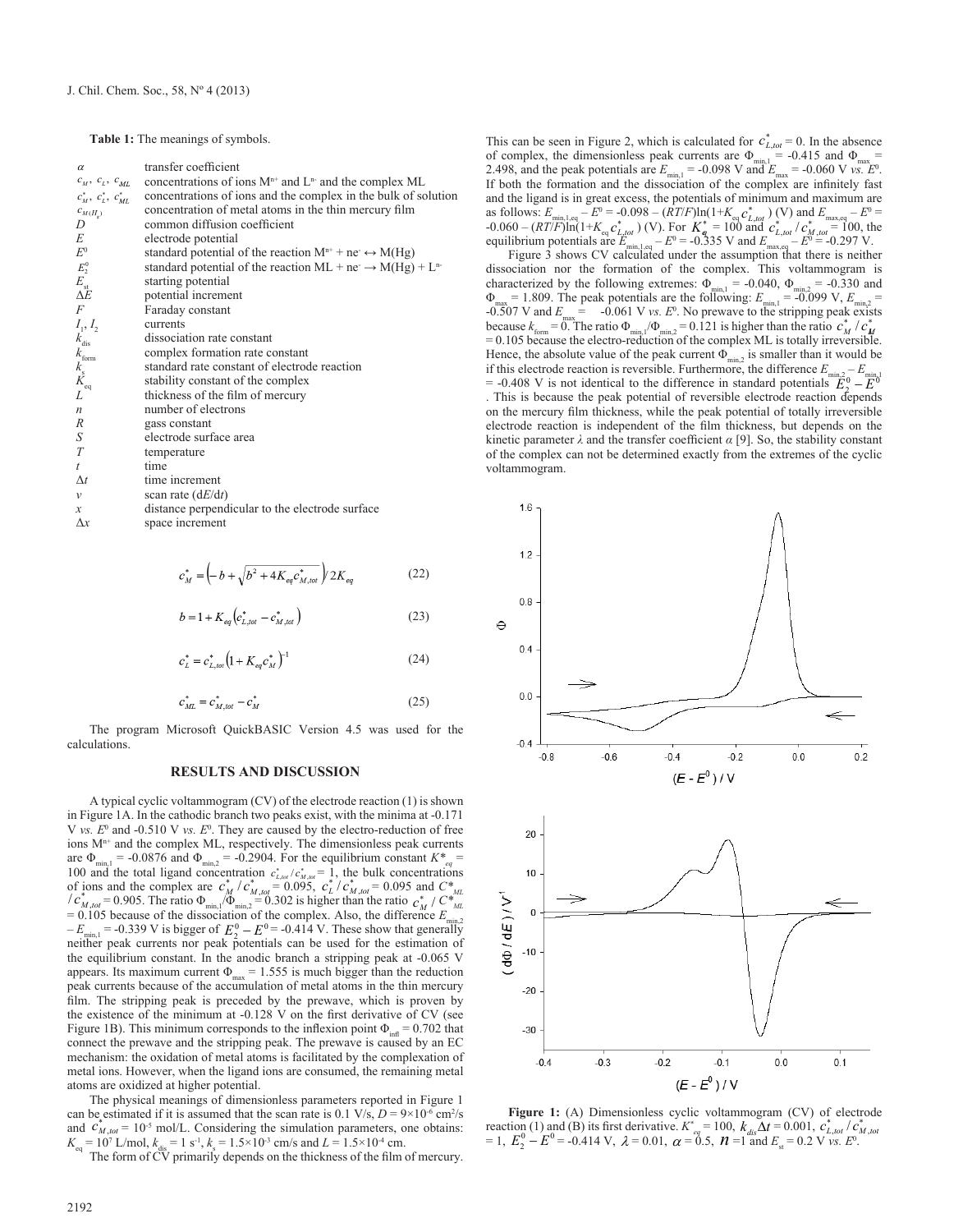Table 1: The meanings of symbols.

| $\alpha$                                                                           | transfer coefficient                                                             |
|------------------------------------------------------------------------------------|----------------------------------------------------------------------------------|
| $c_{\scriptscriptstyle M},\ c_{\scriptscriptstyle L},\ c_{\scriptscriptstyle M L}$ | concentrations of ions $M^{n+}$ and $L^{n-}$ and the complex ML                  |
| $c_M^*$ , $c_L^*$ , $c_{ML}^*$                                                     | concentrations of ions and the complex in the bulk of solution                   |
| $c_{M(H_s)}$                                                                       | concentration of metal atoms in the thin mercury film                            |
| D                                                                                  | common diffusion coefficient                                                     |
| E                                                                                  | electrode potential                                                              |
| $E^0$                                                                              | standard potential of the reaction $M^{n+}$ + ne $\leftrightarrow M(Hg)$         |
| $E_2^0$                                                                            | standard potential of the reaction ML + ne $\rightarrow$ M(Hg) + L <sup>n-</sup> |
|                                                                                    | starting potential                                                               |
| $E_{\rm st}$<br>$\Delta E$                                                         | potential increment                                                              |
| F                                                                                  | Faraday constant                                                                 |
| $I_1, I_2$                                                                         | currents                                                                         |
|                                                                                    | dissociation rate constant                                                       |
| $k_{\text{diss}}$<br>$k_{\text{form}}$<br>$k_{\text{s}}$<br>$K_{\text{eq}}$<br>$L$ | complex formation rate constant                                                  |
|                                                                                    | standard rate constant of electrode reaction                                     |
|                                                                                    | stability constant of the complex                                                |
|                                                                                    | thickness of the film of mercury                                                 |
| n                                                                                  | number of electrons                                                              |
| R                                                                                  | gass constant                                                                    |
| $\boldsymbol{S}$                                                                   | electrode surface area                                                           |
| $\cal T$                                                                           | temperature                                                                      |
| t                                                                                  | time                                                                             |
| $\Delta t$                                                                         | time increment                                                                   |
| $\mathcal V$                                                                       | scan rate $(dE/dt)$                                                              |
| $\boldsymbol{\mathcal{X}}$                                                         | distance perpendicular to the electrode surface                                  |
| $\Delta x$                                                                         | space increment                                                                  |

$$
c_{M}^{*} = \left(-b + \sqrt{b^{2} + 4K_{eq}c_{M,tot}^{*}}\right)2K_{eq}
$$
 (22)

$$
b = 1 + K_{eq} \left( c_{L, tot}^* - c_{M, tot}^* \right) \tag{23}
$$

$$
c_{L}^{*} = c_{L,tot}^{*} \left( 1 + K_{eq} c_{M}^{*} \right)^{-1}
$$
 (24)

$$
c_{ML}^* = c_{M, tot}^* - c_M^* \tag{25}
$$

The program Microsoft QuickBASIC Version 4.5 was used for the calculations.

## **RESULTS AND DISCUSSION**

A typical cyclic voltammogram (CV) of the electrode reaction (1) is shown in Figure 1A. In the cathodic branch two peaks exist, with the minima at -0.171 V *vs.*  $E^0$  and -0.510 V *vs.*  $E^0$ . They are caused by the electro-reduction of free ions  $M^{n+}$  and the complex ML, respectively. The dimensionless peak currents are  $\Phi_{\text{min,1}} = -0.0876$  and  $\Phi_{\text{min,2}} = -0.2904$ . For the equilibrium constant  $K^*_{\text{max}} =$ 100 and the total ligand concentration  $c_{L,tot}^* / c_{M,tot}^* = 1$ , the bulk concentrations<br>of ions and the complex are  $c_M^* / c_{M,tot}^* = 0.095$ ,  $c_L^* / c_{M,tot}^* = 0.095$  and  $C_{M,L}^*$ <br> $/c_{M,tot}^* = 0.905$ . The ratio  $\Phi_{min} / \Phi_{min,2} =$  $= 0.105$  because of the dissociation of the complex. Also, the difference  $E_n$  $-E_{\text{min,1}} = -0.339 \text{ V}$  is bigger of  $E_2^0 - E_2^0 = -0.414 \text{ V}$ . These show that generally neither peak currents nor peak potentials can be used for the estimation of the equilibrium constant. In the anodic branch a stripping peak at -0.065 V appears. Its maximum current  $\Phi_{\text{max}} = 1.555$  is much bigger than the reduction peak currents because of the accumulation of metal atoms in the thin mercury film. The stripping peak is preceded by the prewave, which is proven by the existence of the minimum at -0.128 V on the first derivative of CV (see Figure 1B). This minimum corresponds to the inflexion point  $\Phi_{\text{inf}} = 0.702$  that connect the prewave and the stripping peak. The prewave is caused by an EC mechanism: the oxidation of metal atoms is facilitated by the complexation of metal ions. However, when the ligand ions are consumed, the remaining metal atoms are oxidized at higher potential.

The physical meanings of dimensionless parameters reported in Figure 1 can be estimated if it is assumed that the scan rate is  $0.1 \text{ V/s}, D = 9 \times 10^{-6} \text{ cm}^2/\text{s}$ and  $c_{M,tot}^* = 10^{-5}$  mol/L. Considering the simulation parameters, one obtains:  $K_{\text{eq}} = 10^7 \text{ L/mol}, k_{\text{dis}} = 1 \text{ s}^{-1}, k_{\text{s}} = 1.5 \times 10^{-3} \text{ cm/s} \text{ and } L = 1.5 \times 10^{-4} \text{ cm}.$ 

The form of CV primarily depends on the thickness of the film of mercury.

This can be seen in Figure 2, which is calculated for  $c_{L, tot}^* = 0$ . In the absence of complex, the dimensionless peak currents are  $\Phi_{\text{min},1}$  = -0.415 and  $\Phi_{\text{max}}$  = 2.498, and the peak potentials are  $E_{\text{min,1}} = -0.098 \text{ V}$  and  $E_{\text{max}} = -0.060 \text{ V}$  *vs.*  $E^0$ . If both the formation and the dissociation of the complex are infinitely fast and the ligand is in great excess, the potentials of minimum and maximum are as follows:  $E_{\text{min},1,\text{eq}} = E^0 = -0.098 - (RT/F) \ln(1+K_{\text{eq}} c_{L,tot}^* )$  (V) and  $E_{\text{max},\text{eq}} = E^0 =$  $\frac{1}{2}$  -0.060 –  $(RT/F)\ln(1+K_{eq}c^*_{L,tot})$  (V). For  $K^* = 100$  and  $c^*_{L,tot}/c^*_{M,tot} = 100$ , the equilibrium potentials are  $E_{\text{min,1,eq}} - E^0 = -0.335 \text{ V}$  and  $E_{\text{max,eq}} - E^0 = -0.297 \text{ V}$ .

Figure 3 shows CV calculated under the assumption that there is neither dissociation nor the formation of the complex. This voltammogram is characterized by the following extremes:  $\Phi_{\text{min,1}} = -0.040$ ,  $\Phi_{\text{min,2}} = -0.330$  and  $\Phi_{\text{max}} = 1.809$ . The peak potentials are the following:  $E_{\text{min,1}} = -0.099 \text{ V}, E_{\text{min,2}} =$ -0.507 V and  $E_{\text{max}} = -0.061$  V *vs.*  $E^0$ . No prewave to the stripping peak exists because  $k_{\text{form}} = 0$ . The ratio  $\Phi_{\text{min},1}/\Phi_{\text{min},2} = 0.121$  is higher than the ratio  $\mathcal{C}_M / \mathcal{C}_M^*$  $= 0.105$  because the electro-reduction of the complex ML is totally irreversible. Hence, the absolute value of the peak current  $\Phi_{\min}$ , is smaller than it would be if this electrode reaction is reversible. Furthermore, the difference  $E_{\text{min},2} - E_{\text{min},1}$ 

 $= -0.408$  V is not identical to the difference in standard potentials  $\overline{E}_2^0 - \overline{E}_1^0$ . This is because the peak potential of reversible electrode reaction depends on the mercury film thickness, while the peak potential of totally irreversible electrode reaction is independent of the film thickness, but depends on the kinetic parameter *λ* and the transfer coefficient *α* [9]. So, the stability constant of the complex can not be determined exactly from the extremes of the cyclic voltammogram.



**Figure 1:** (A) Dimensionless cyclic voltammogram (CV) of electrode reaction (1) and (B) its first derivative.  $K^*_{eq} = 100$ ,  $k_{dis}\Delta t = 0.001$ ,  $c^*_{L, tot}/c^*_{M, tot}$  $= 1, E_2^0 - E^0 = -0.414 \text{ V}, \ \lambda = 0.01, \ \alpha = 0.5, \ \mathcal{M} = 1 \text{ and } E_{\text{st}} = 0.2 \text{ V} \text{ vs. } E^0$ .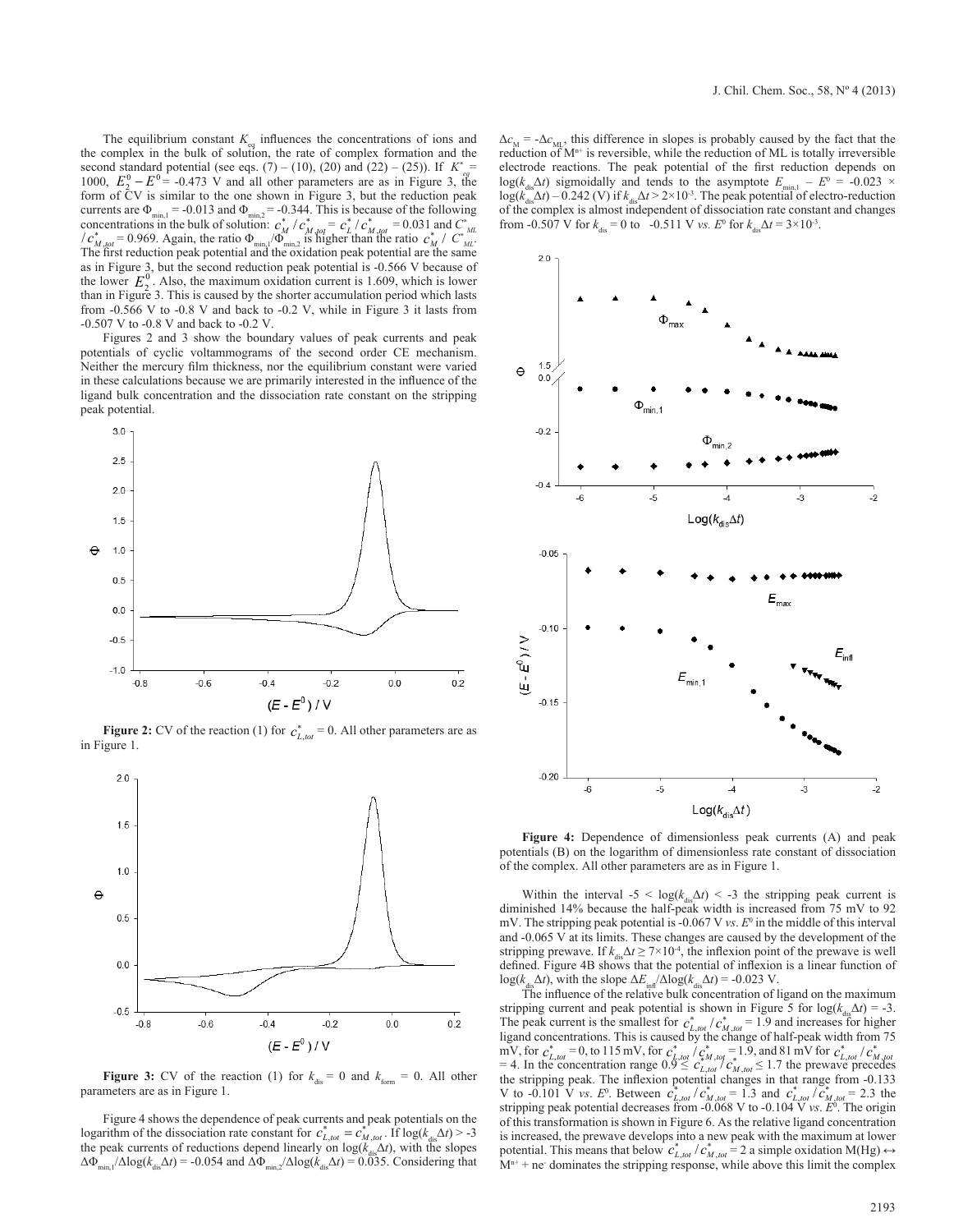The equilibrium constant  $K_{eq}$  influences the concentrations of ions and the complex in the bulk of solution, the rate of complex formation and the second standard potential (see eqs.  $(7) - (10)$ ,  $(20)$  and  $(22) - (25)$ ). If  $K^*_{eq} =$ 1000,  $E_2^0 - E_2^0 = -0.473$  V and all other parameters are as in Figure 3, the form of CV is similar to the one shown in Figure 3, but the reduction peak currents are  $\Phi_{\min} = -0.013$  and  $\Phi_{\min,2} = -0.344$ . This is because of the following<br>concentrations in the bulk of solution:  $c_M^* / c_M^*_{M_0 \text{C}f} = c_L^* / c_M^*_{M_0 \text{C}f} = 0.031$  and  $C_{ML}^*$ <br> $/c_M^* / c_M^* = 0.969$ . Again, the r The first reduction peak potential and the oxidation peak potential are the same as in Figure 3, but the second reduction peak potential is -0.566 V because of the lower  $E_2^0$ . Also, the maximum oxidation current is 1.609, which is lower than in Figure 3. This is caused by the shorter accumulation period which lasts from -0.566 V to -0.8 V and back to -0.2 V, while in Figure 3 it lasts from -0.507 V to -0.8 V and back to -0.2 V.

Figures 2 and 3 show the boundary values of peak currents and peak potentials of cyclic voltammograms of the second order CE mechanism. Neither the mercury film thickness, nor the equilibrium constant were varied in these calculations because we are primarily interested in the influence of the ligand bulk concentration and the dissociation rate constant on the stripping peak potential.



**Figure 2:** CV of the reaction (1) for  $c_{L, tot}^* = 0$ . All other parameters are as in Figure 1.



**Figure 3:** CV of the reaction (1) for  $k_{dis} = 0$  and  $k_{form} = 0$ . All other parameters are as in Figure 1.

Figure 4 shows the dependence of peak currents and peak potentials on the logarithm of the dissociation rate constant for  $c_{L, tot}^* = c_{M, tot}^{*}$ . If  $log(k_{dis}\Delta t) > -3$ the peak currents of reductions depend linearly on  $log(k_{dis}\Delta t)$ , with the slopes  $\Delta \Phi_{\min,1}/\Delta \log(k_{\text{dis}}\Delta t) = -0.054$  and  $\Delta \Phi_{\min,2}/\Delta \log(k_{\text{dis}}\Delta t) = 0.0335$ . Considering that

 $\Delta c_M$  = - $\Delta c_{ML}$ , this difference in slopes is probably caused by the fact that the reduction of  $M^{n+}$  is reversible, while the reduction of ML is totally irreversible electrode reactions. The peak potential of the first reduction depends on log( $k_{\text{dis}}\Delta t$ ) sigmoidally and tends to the asymptote  $E_{\text{min,1}} - E^0 = -0.023 \times$  $log(k_{\text{max}}^{3.5}\Delta t) - 0.242$  (V) if  $k_{\text{max}}\Delta t > 2 \times 10^{-3}$ . The peak potential of electro-reduction of the complex is almost independent of dissociation rate constant and changes from -0.507 V for  $k_{\text{dis}} = 0$  to -0.511 V *vs.*  $E^0$  for  $k_{\text{dis}}\Delta t = 3 \times 10^{-3}$ .



**Figure 4:** Dependence of dimensionless peak currents (A) and peak potentials (B) on the logarithm of dimensionless rate constant of dissociation of the complex. All other parameters are as in Figure 1.

Within the interval  $-5 < log(k_{dis}\Delta t) < -3$  the stripping peak current is diminished 14% because the half-peak width is increased from 75 mV to 92 mV. The stripping peak potential is -0.067 V  $vs. E<sup>0</sup>$  in the middle of this interval and -0.065 V at its limits. These changes are caused by the development of the stripping prewave. If  $k_{\text{dis}}\Delta t \geq 7 \times 10^{-4}$ , the inflexion point of the prewave is well defined. Figure 4B shows that the potential of inflexion is a linear function of  $log(k_{dis}\Delta t)$ , with the slope  $\Delta E_{ind}/\Delta log(k_{dis}\Delta t) = -0.023$  V.

The influence of the relative bulk concentration of ligand on the maximum stripping current and peak potential is shown in Figure 5 for  $log(k_{dis}\Delta t) = -3$ . The peak current is the smallest for  $c_{L, tot}^* / c_{M, tot}^* = 1.9$  and increases for higher ligand concentrations. This is caused by the change of half-peak width from 75 mV, for  $c_{L,tot}^* = 0$ , to 115 mV, for  $c_{L,tot}^* / c_{M,tot}^* = 1.9$ , and 81 mV for  $c_{L,tot}^* / c_{M,tot}^* = 4$ . In the concentration range  $0.9 \leq c_{L,tot}^* / c_{M,tot}^* \leq 1.7$  the prewave precedes the stripping peak. The inflexion potential changes in that range from -0.133 V to  $-0.101$  V *vs.*  $E^0$ . Between  $c_{L, tot}^* / c_{M, tot}^* = 1.3$  and  $c_{L, tot}^* / c_{M, tot}^* = 2.3$  the stripping peak potential decreases from -0.068 V to -0.104 V *vs*. *E*<sup>0</sup> . The origin of this transformation is shown in Figure 6. As the relative ligand concentration is increased, the prewave develops into a new peak with the maximum at lower potential. This means that below  $c_{L, tot}^* / c_{M, tot}^* = 2$  a simple oxidation M(Hg)  $\leftrightarrow$  $M<sup>n+</sup>$  + ne<sup>-</sup> dominates the stripping response, while above this limit the complex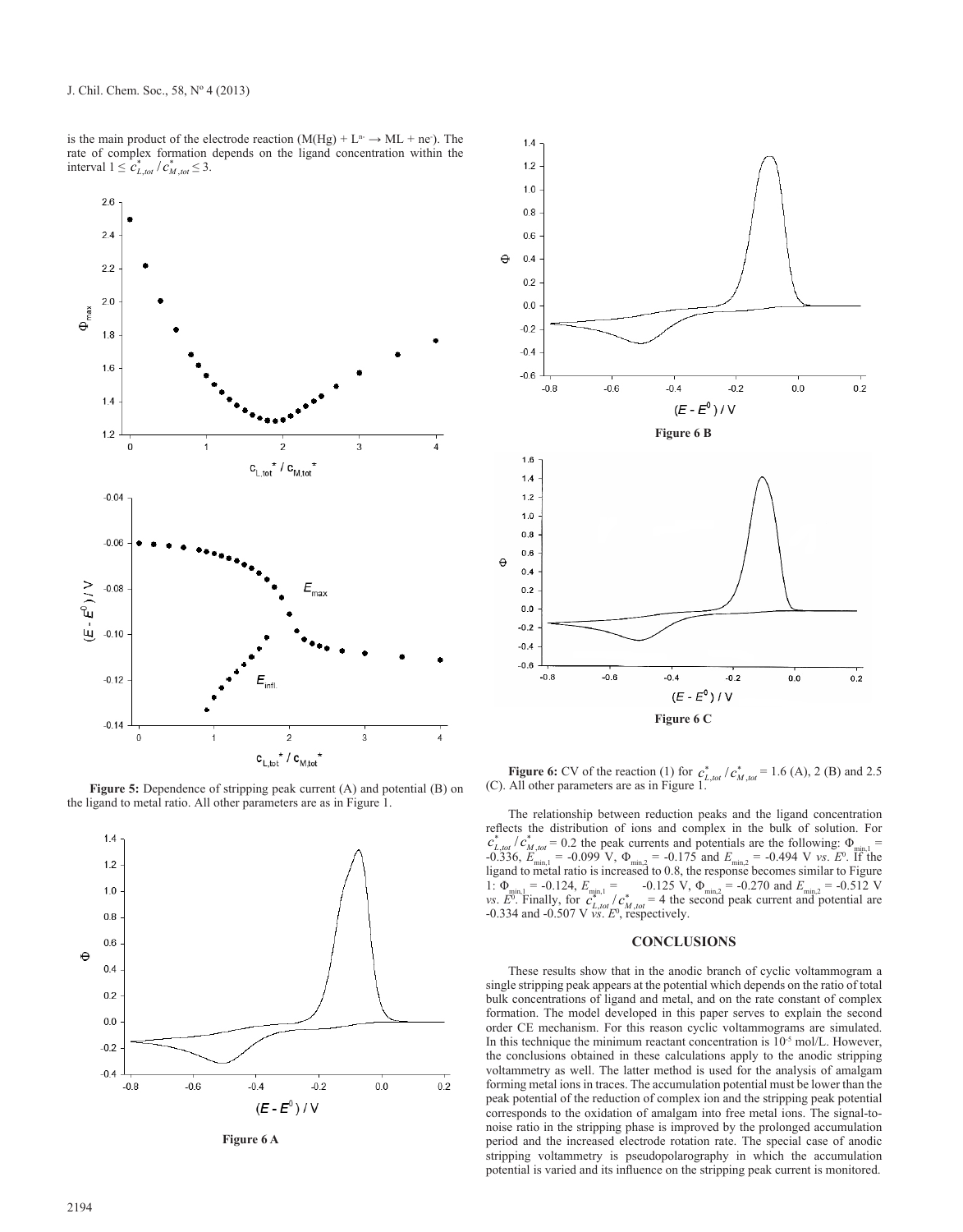is the main product of the electrode reaction  $(M(Hg) + L^n \rightarrow ML + ne)$ . The rate of complex formation depends on the ligand concentration within the interval  $1 \leq c_{L, tot}^* / c_{M, tot}^* \leq 3$ .



Figure 5: Dependence of stripping peak current (A) and potential (B) on the ligand to metal ratio. All other parameters are as in Figure 1.



**Figure 6 A**



**Figure 6:** CV of the reaction (1) for  $c_{L, tot}^* / c_{M, tot}^* = 1.6$  (A), 2 (B) and 2.5 (C). All other parameters are as in Figure 1.

The relationship between reduction peaks and the ligand concentration reflects the distribution of ions and complex in the bulk of solution. For  $c_{L, tot}^* / c_{M, tot}^* = 0.2$  the peak currents and potentials are the following:  $\Phi_{min,1} =$ -0.336,  $E_{\text{min,1}} = -0.099 \text{ V}$ ,  $\Phi_{\text{min,2}} = -0.175 \text{ and } E_{\text{min,2}} = -0.494 \text{ V}$  *vs.*  $E^0$ . If the ligand to metal ratio is increased to 0.8, the response becomes similar to Figure 1:  $\Phi_{\min,1} = -0.124$ ,  $E_{\min,1} = -0.125$  V,  $\Phi_{\min,2} = -0.270$  and  $E_{\min,2} = -0.512$  V<br>vs.  $E^0$ . Finally, for  $c_{L,tot}^* / c_{M,tot}^* = 4$  the second peak current and potential are<br>-0.334 and -0.507 V vs.  $E^0$ , respectively.

### **CONCLUSIONS**

These results show that in the anodic branch of cyclic voltammogram a single stripping peak appears at the potential which depends on the ratio of total bulk concentrations of ligand and metal, and on the rate constant of complex formation. The model developed in this paper serves to explain the second order CE mechanism. For this reason cyclic voltammograms are simulated. In this technique the minimum reactant concentration is  $10^{-5}$  mol/L. However, the conclusions obtained in these calculations apply to the anodic stripping voltammetry as well. The latter method is used for the analysis of amalgam forming metal ions in traces. The accumulation potential must be lower than the peak potential of the reduction of complex ion and the stripping peak potential corresponds to the oxidation of amalgam into free metal ions. The signal-tonoise ratio in the stripping phase is improved by the prolonged accumulation period and the increased electrode rotation rate. The special case of anodic stripping voltammetry is pseudopolarography in which the accumulation potential is varied and its influence on the stripping peak current is monitored.